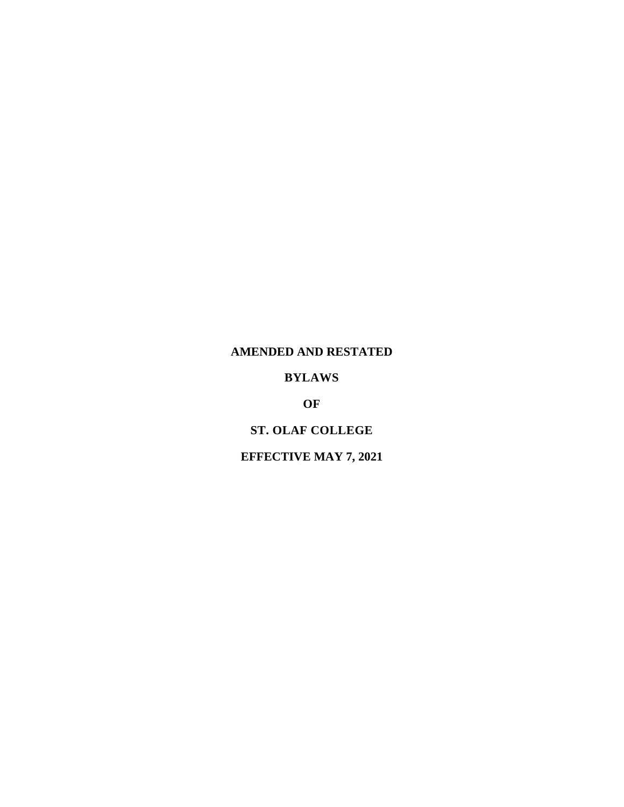# **AMENDED AND RESTATED**

# **BYLAWS**

# **OF**

# **ST. OLAF COLLEGE**

# **EFFECTIVE MAY 7, 2021**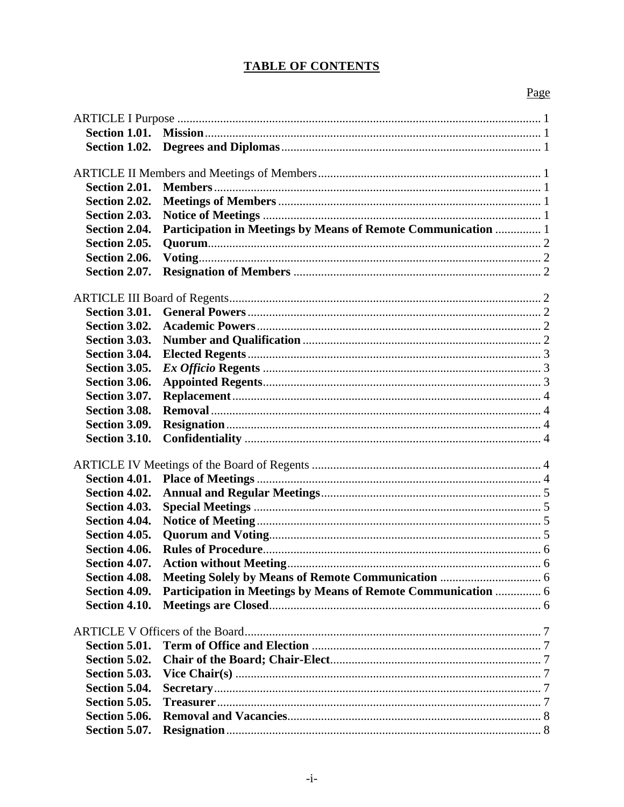# **TABLE OF CONTENTS**

# Page

| Section 1.02. |                                                               |  |  |
|---------------|---------------------------------------------------------------|--|--|
|               |                                                               |  |  |
|               |                                                               |  |  |
| Section 2.01. |                                                               |  |  |
| Section 2.02. |                                                               |  |  |
| Section 2.03. |                                                               |  |  |
| Section 2.04. | Participation in Meetings by Means of Remote Communication  1 |  |  |
| Section 2.05. |                                                               |  |  |
| Section 2.06. |                                                               |  |  |
| Section 2.07. |                                                               |  |  |
|               |                                                               |  |  |
| Section 3.01. |                                                               |  |  |
|               |                                                               |  |  |
| Section 3.02. |                                                               |  |  |
| Section 3.03. |                                                               |  |  |
| Section 3.04. |                                                               |  |  |
| Section 3.05. |                                                               |  |  |
| Section 3.06. |                                                               |  |  |
| Section 3.07. |                                                               |  |  |
| Section 3.08. |                                                               |  |  |
| Section 3.09. |                                                               |  |  |
| Section 3.10. |                                                               |  |  |
|               |                                                               |  |  |
| Section 4.01. |                                                               |  |  |
| Section 4.02. |                                                               |  |  |
| Section 4.03. |                                                               |  |  |
| Section 4.04. |                                                               |  |  |
| Section 4.05. |                                                               |  |  |
| Section 4.06. |                                                               |  |  |
| Section 4.07. |                                                               |  |  |
|               |                                                               |  |  |
| Section 4.09. | Participation in Meetings by Means of Remote Communication  6 |  |  |
| Section 4.10. |                                                               |  |  |
|               |                                                               |  |  |
|               |                                                               |  |  |
| Section 5.01. |                                                               |  |  |
| Section 5.02. |                                                               |  |  |
| Section 5.03. |                                                               |  |  |
| Section 5.04. |                                                               |  |  |
| Section 5.05. |                                                               |  |  |
| Section 5.06. |                                                               |  |  |
| Section 5.07. |                                                               |  |  |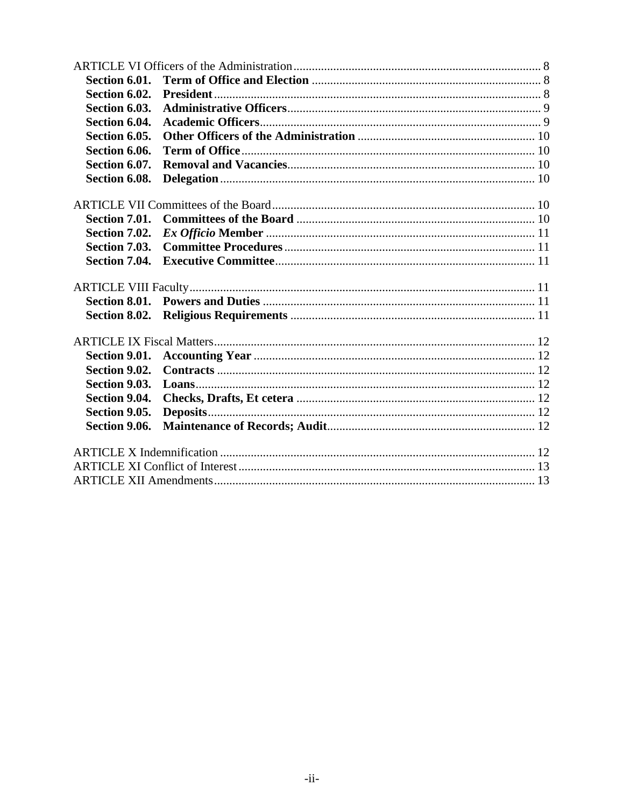| Section 6.01. |  |  |
|---------------|--|--|
| Section 6.02. |  |  |
| Section 6.03. |  |  |
| Section 6.04. |  |  |
| Section 6.05. |  |  |
| Section 6.06. |  |  |
| Section 6.07. |  |  |
| Section 6.08. |  |  |
|               |  |  |
| Section 7.01. |  |  |
| Section 7.02. |  |  |
| Section 7.03. |  |  |
| Section 7.04. |  |  |
|               |  |  |
| Section 8.01. |  |  |
|               |  |  |
|               |  |  |
|               |  |  |
| Section 9.02. |  |  |
| Section 9.03. |  |  |
| Section 9.04. |  |  |
| Section 9.05. |  |  |
| Section 9.06. |  |  |
|               |  |  |
|               |  |  |
|               |  |  |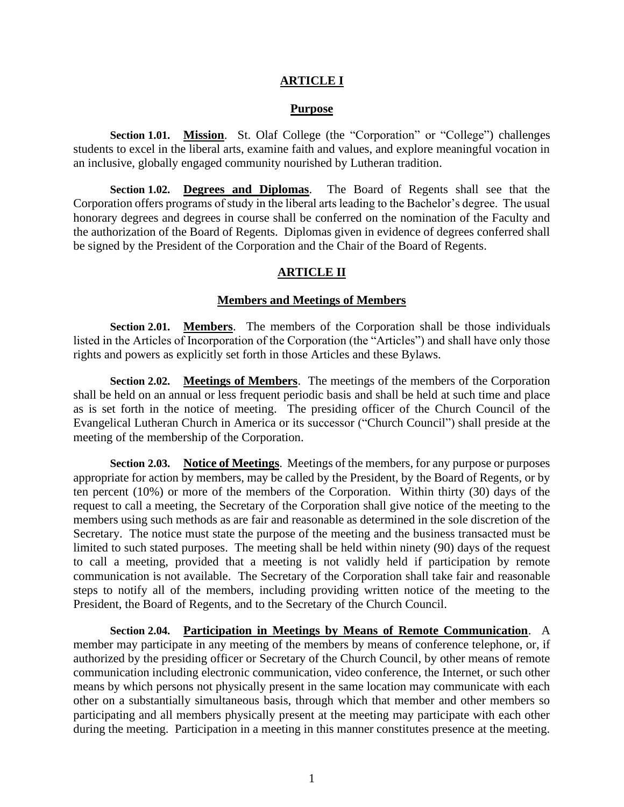### **ARTICLE I**

#### **Purpose**

<span id="page-3-1"></span><span id="page-3-0"></span>**Section 1.01. Mission**. St. Olaf College (the "Corporation" or "College") challenges students to excel in the liberal arts, examine faith and values, and explore meaningful vocation in an inclusive, globally engaged community nourished by Lutheran tradition.

<span id="page-3-2"></span>**Section 1.02. Degrees and Diplomas**. The Board of Regents shall see that the Corporation offers programs of study in the liberal arts leading to the Bachelor's degree. The usual honorary degrees and degrees in course shall be conferred on the nomination of the Faculty and the authorization of the Board of Regents. Diplomas given in evidence of degrees conferred shall be signed by the President of the Corporation and the Chair of the Board of Regents.

### **ARTICLE II**

#### **Members and Meetings of Members**

<span id="page-3-4"></span><span id="page-3-3"></span>**Section 2.01. Members**. The members of the Corporation shall be those individuals listed in the Articles of Incorporation of the Corporation (the "Articles") and shall have only those rights and powers as explicitly set forth in those Articles and these Bylaws.

<span id="page-3-5"></span>**Section 2.02. Meetings of Members**. The meetings of the members of the Corporation shall be held on an annual or less frequent periodic basis and shall be held at such time and place as is set forth in the notice of meeting. The presiding officer of the Church Council of the Evangelical Lutheran Church in America or its successor ("Church Council") shall preside at the meeting of the membership of the Corporation.

<span id="page-3-6"></span>**Section 2.03. Notice of Meetings**. Meetings of the members, for any purpose or purposes appropriate for action by members, may be called by the President, by the Board of Regents, or by ten percent (10%) or more of the members of the Corporation. Within thirty (30) days of the request to call a meeting, the Secretary of the Corporation shall give notice of the meeting to the members using such methods as are fair and reasonable as determined in the sole discretion of the Secretary. The notice must state the purpose of the meeting and the business transacted must be limited to such stated purposes. The meeting shall be held within ninety (90) days of the request to call a meeting, provided that a meeting is not validly held if participation by remote communication is not available. The Secretary of the Corporation shall take fair and reasonable steps to notify all of the members, including providing written notice of the meeting to the President, the Board of Regents, and to the Secretary of the Church Council.

<span id="page-3-7"></span>**Section 2.04. Participation in Meetings by Means of Remote Communication**. A member may participate in any meeting of the members by means of conference telephone, or, if authorized by the presiding officer or Secretary of the Church Council, by other means of remote communication including electronic communication, video conference, the Internet, or such other means by which persons not physically present in the same location may communicate with each other on a substantially simultaneous basis, through which that member and other members so participating and all members physically present at the meeting may participate with each other during the meeting. Participation in a meeting in this manner constitutes presence at the meeting.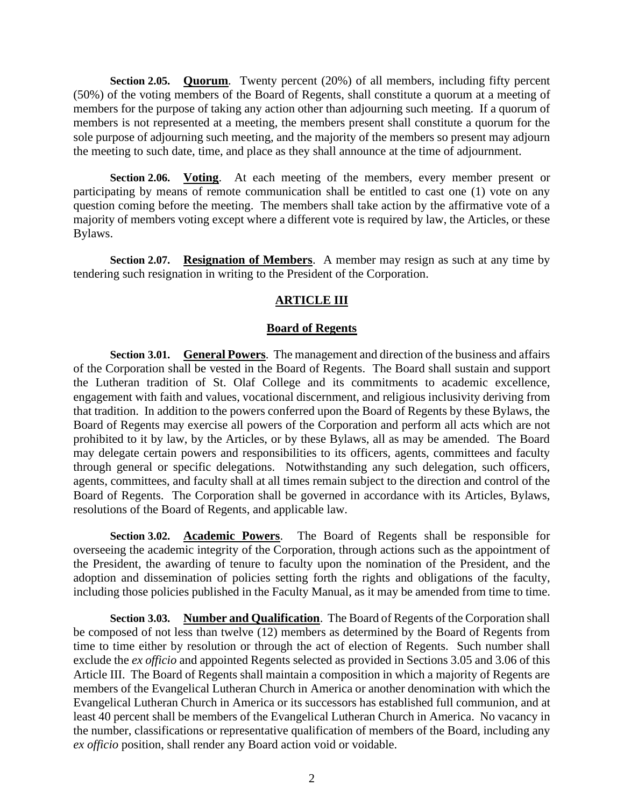<span id="page-4-0"></span>**Section 2.05. Quorum***.* Twenty percent (20%) of all members, including fifty percent (50%) of the voting members of the Board of Regents, shall constitute a quorum at a meeting of members for the purpose of taking any action other than adjourning such meeting. If a quorum of members is not represented at a meeting, the members present shall constitute a quorum for the sole purpose of adjourning such meeting, and the majority of the members so present may adjourn the meeting to such date, time, and place as they shall announce at the time of adjournment.

<span id="page-4-1"></span>**Section 2.06. Voting**. At each meeting of the members, every member present or participating by means of remote communication shall be entitled to cast one (1) vote on any question coming before the meeting. The members shall take action by the affirmative vote of a majority of members voting except where a different vote is required by law, the Articles, or these Bylaws.

<span id="page-4-2"></span>**Section 2.07. Resignation of Members**. A member may resign as such at any time by tendering such resignation in writing to the President of the Corporation.

## **ARTICLE III**

## **Board of Regents**

<span id="page-4-4"></span><span id="page-4-3"></span>**Section 3.01. General Powers**. The management and direction of the business and affairs of the Corporation shall be vested in the Board of Regents. The Board shall sustain and support the Lutheran tradition of St. Olaf College and its commitments to academic excellence, engagement with faith and values, vocational discernment, and religious inclusivity deriving from that tradition. In addition to the powers conferred upon the Board of Regents by these Bylaws, the Board of Regents may exercise all powers of the Corporation and perform all acts which are not prohibited to it by law, by the Articles, or by these Bylaws, all as may be amended. The Board may delegate certain powers and responsibilities to its officers, agents, committees and faculty through general or specific delegations. Notwithstanding any such delegation, such officers, agents, committees, and faculty shall at all times remain subject to the direction and control of the Board of Regents. The Corporation shall be governed in accordance with its Articles, Bylaws, resolutions of the Board of Regents, and applicable law.

<span id="page-4-5"></span>**Section 3.02. Academic Powers**. The Board of Regents shall be responsible for overseeing the academic integrity of the Corporation, through actions such as the appointment of the President, the awarding of tenure to faculty upon the nomination of the President, and the adoption and dissemination of policies setting forth the rights and obligations of the faculty, including those policies published in the Faculty Manual, as it may be amended from time to time.

<span id="page-4-6"></span>**Section 3.03. Number and Qualification**. The Board of Regents of the Corporation shall be composed of not less than twelve (12) members as determined by the Board of Regents from time to time either by resolution or through the act of election of Regents. Such number shall exclude the *ex officio* and appointed Regents selected as provided in Sections 3.05 and 3.06 of this Article III. The Board of Regents shall maintain a composition in which a majority of Regents are members of the Evangelical Lutheran Church in America or another denomination with which the Evangelical Lutheran Church in America or its successors has established full communion, and at least 40 percent shall be members of the Evangelical Lutheran Church in America. No vacancy in the number, classifications or representative qualification of members of the Board, including any *ex officio* position, shall render any Board action void or voidable.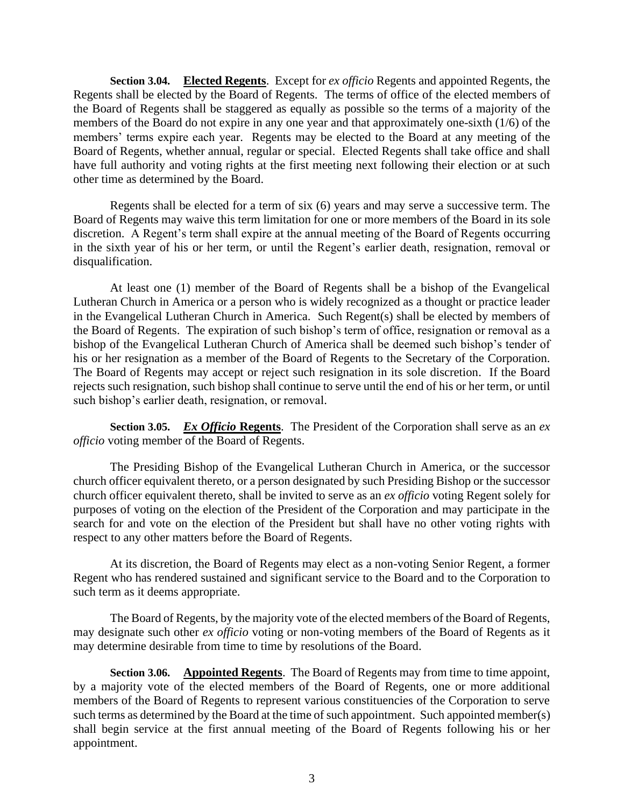<span id="page-5-0"></span>**Section 3.04. Elected Regents**. Except for *ex officio* Regents and appointed Regents, the Regents shall be elected by the Board of Regents. The terms of office of the elected members of the Board of Regents shall be staggered as equally as possible so the terms of a majority of the members of the Board do not expire in any one year and that approximately one-sixth (1/6) of the members' terms expire each year. Regents may be elected to the Board at any meeting of the Board of Regents, whether annual, regular or special. Elected Regents shall take office and shall have full authority and voting rights at the first meeting next following their election or at such other time as determined by the Board.

Regents shall be elected for a term of six (6) years and may serve a successive term. The Board of Regents may waive this term limitation for one or more members of the Board in its sole discretion. A Regent's term shall expire at the annual meeting of the Board of Regents occurring in the sixth year of his or her term, or until the Regent's earlier death, resignation, removal or disqualification.

At least one (1) member of the Board of Regents shall be a bishop of the Evangelical Lutheran Church in America or a person who is widely recognized as a thought or practice leader in the Evangelical Lutheran Church in America. Such Regent(s) shall be elected by members of the Board of Regents. The expiration of such bishop's term of office, resignation or removal as a bishop of the Evangelical Lutheran Church of America shall be deemed such bishop's tender of his or her resignation as a member of the Board of Regents to the Secretary of the Corporation. The Board of Regents may accept or reject such resignation in its sole discretion. If the Board rejects such resignation, such bishop shall continue to serve until the end of his or her term, or until such bishop's earlier death, resignation, or removal.

<span id="page-5-1"></span>**Section 3.05.** *Ex Officio* **Regents**. The President of the Corporation shall serve as an *ex officio* voting member of the Board of Regents.

The Presiding Bishop of the Evangelical Lutheran Church in America, or the successor church officer equivalent thereto, or a person designated by such Presiding Bishop or the successor church officer equivalent thereto, shall be invited to serve as an *ex officio* voting Regent solely for purposes of voting on the election of the President of the Corporation and may participate in the search for and vote on the election of the President but shall have no other voting rights with respect to any other matters before the Board of Regents.

At its discretion, the Board of Regents may elect as a non-voting Senior Regent, a former Regent who has rendered sustained and significant service to the Board and to the Corporation to such term as it deems appropriate.

The Board of Regents, by the majority vote of the elected members of the Board of Regents, may designate such other *ex officio* voting or non-voting members of the Board of Regents as it may determine desirable from time to time by resolutions of the Board.

<span id="page-5-2"></span>**Section 3.06. Appointed Regents**. The Board of Regents may from time to time appoint, by a majority vote of the elected members of the Board of Regents, one or more additional members of the Board of Regents to represent various constituencies of the Corporation to serve such terms as determined by the Board at the time of such appointment. Such appointed member(s) shall begin service at the first annual meeting of the Board of Regents following his or her appointment.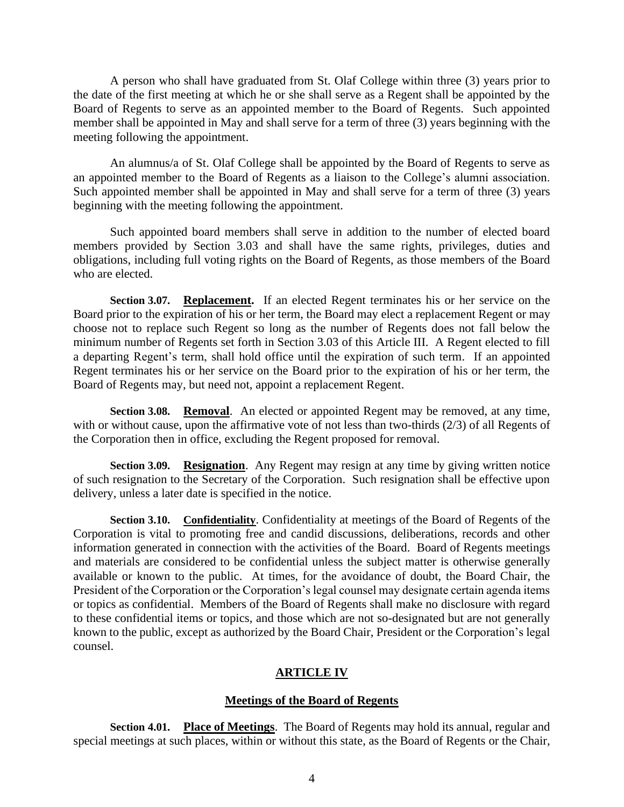A person who shall have graduated from St. Olaf College within three (3) years prior to the date of the first meeting at which he or she shall serve as a Regent shall be appointed by the Board of Regents to serve as an appointed member to the Board of Regents. Such appointed member shall be appointed in May and shall serve for a term of three (3) years beginning with the meeting following the appointment.

An alumnus/a of St. Olaf College shall be appointed by the Board of Regents to serve as an appointed member to the Board of Regents as a liaison to the College's alumni association. Such appointed member shall be appointed in May and shall serve for a term of three (3) years beginning with the meeting following the appointment.

Such appointed board members shall serve in addition to the number of elected board members provided by Section 3.03 and shall have the same rights, privileges, duties and obligations, including full voting rights on the Board of Regents, as those members of the Board who are elected.

<span id="page-6-0"></span>**Section 3.07. Replacement.** If an elected Regent terminates his or her service on the Board prior to the expiration of his or her term, the Board may elect a replacement Regent or may choose not to replace such Regent so long as the number of Regents does not fall below the minimum number of Regents set forth in Section 3.03 of this Article III. A Regent elected to fill a departing Regent's term, shall hold office until the expiration of such term. If an appointed Regent terminates his or her service on the Board prior to the expiration of his or her term, the Board of Regents may, but need not, appoint a replacement Regent.

<span id="page-6-1"></span>**Section 3.08. Removal**. An elected or appointed Regent may be removed, at any time, with or without cause, upon the affirmative vote of not less than two-thirds (2/3) of all Regents of the Corporation then in office, excluding the Regent proposed for removal.

<span id="page-6-2"></span>**Section 3.09. Resignation**. Any Regent may resign at any time by giving written notice of such resignation to the Secretary of the Corporation. Such resignation shall be effective upon delivery, unless a later date is specified in the notice.

<span id="page-6-3"></span>**Section 3.10. Confidentiality**. Confidentiality at meetings of the Board of Regents of the Corporation is vital to promoting free and candid discussions, deliberations, records and other information generated in connection with the activities of the Board. Board of Regents meetings and materials are considered to be confidential unless the subject matter is otherwise generally available or known to the public. At times, for the avoidance of doubt, the Board Chair, the President of the Corporation or the Corporation's legal counsel may designate certain agenda items or topics as confidential. Members of the Board of Regents shall make no disclosure with regard to these confidential items or topics, and those which are not so-designated but are not generally known to the public, except as authorized by the Board Chair, President or the Corporation's legal counsel.

## **ARTICLE IV**

### **Meetings of the Board of Regents**

<span id="page-6-5"></span><span id="page-6-4"></span>**Section 4.01. Place of Meetings**. The Board of Regents may hold its annual, regular and special meetings at such places, within or without this state, as the Board of Regents or the Chair,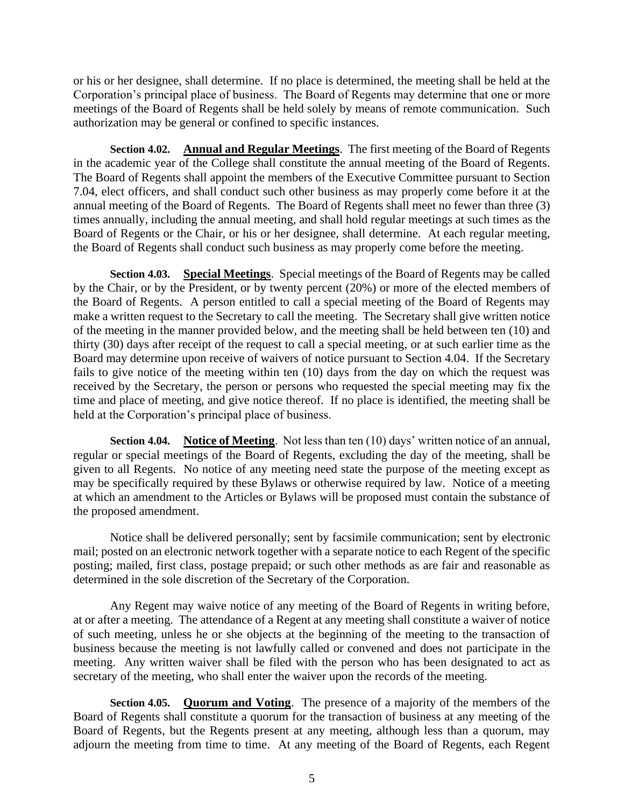or his or her designee, shall determine. If no place is determined, the meeting shall be held at the Corporation's principal place of business. The Board of Regents may determine that one or more meetings of the Board of Regents shall be held solely by means of remote communication. Such authorization may be general or confined to specific instances.

<span id="page-7-0"></span>**Section 4.02. Annual and Regular Meetings**. The first meeting of the Board of Regents in the academic year of the College shall constitute the annual meeting of the Board of Regents. The Board of Regents shall appoint the members of the Executive Committee pursuant to Section 7.04, elect officers, and shall conduct such other business as may properly come before it at the annual meeting of the Board of Regents. The Board of Regents shall meet no fewer than three (3) times annually, including the annual meeting, and shall hold regular meetings at such times as the Board of Regents or the Chair, or his or her designee, shall determine. At each regular meeting, the Board of Regents shall conduct such business as may properly come before the meeting.

<span id="page-7-1"></span>**Section 4.03. Special Meetings**. Special meetings of the Board of Regents may be called by the Chair, or by the President, or by twenty percent (20%) or more of the elected members of the Board of Regents. A person entitled to call a special meeting of the Board of Regents may make a written request to the Secretary to call the meeting. The Secretary shall give written notice of the meeting in the manner provided below, and the meeting shall be held between ten (10) and thirty (30) days after receipt of the request to call a special meeting, or at such earlier time as the Board may determine upon receive of waivers of notice pursuant to Section 4.04. If the Secretary fails to give notice of the meeting within ten (10) days from the day on which the request was received by the Secretary, the person or persons who requested the special meeting may fix the time and place of meeting, and give notice thereof. If no place is identified, the meeting shall be held at the Corporation's principal place of business.

<span id="page-7-2"></span>**Section 4.04. Notice of Meeting**. Not less than ten (10) days' written notice of an annual, regular or special meetings of the Board of Regents, excluding the day of the meeting, shall be given to all Regents. No notice of any meeting need state the purpose of the meeting except as may be specifically required by these Bylaws or otherwise required by law. Notice of a meeting at which an amendment to the Articles or Bylaws will be proposed must contain the substance of the proposed amendment.

Notice shall be delivered personally; sent by facsimile communication; sent by electronic mail; posted on an electronic network together with a separate notice to each Regent of the specific posting; mailed, first class, postage prepaid; or such other methods as are fair and reasonable as determined in the sole discretion of the Secretary of the Corporation.

Any Regent may waive notice of any meeting of the Board of Regents in writing before, at or after a meeting. The attendance of a Regent at any meeting shall constitute a waiver of notice of such meeting, unless he or she objects at the beginning of the meeting to the transaction of business because the meeting is not lawfully called or convened and does not participate in the meeting. Any written waiver shall be filed with the person who has been designated to act as secretary of the meeting, who shall enter the waiver upon the records of the meeting.

<span id="page-7-3"></span>**Section 4.05. Quorum and Voting**. The presence of a majority of the members of the Board of Regents shall constitute a quorum for the transaction of business at any meeting of the Board of Regents, but the Regents present at any meeting, although less than a quorum, may adjourn the meeting from time to time. At any meeting of the Board of Regents, each Regent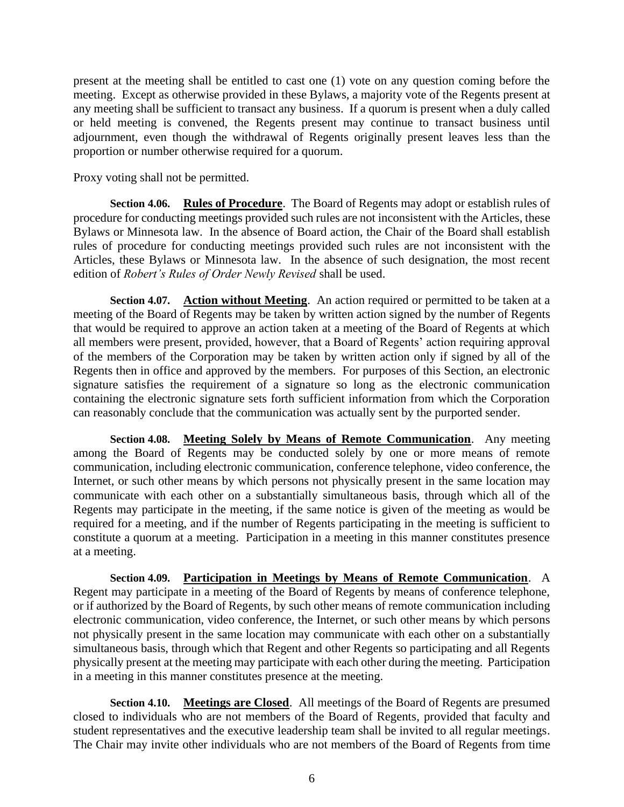present at the meeting shall be entitled to cast one (1) vote on any question coming before the meeting. Except as otherwise provided in these Bylaws, a majority vote of the Regents present at any meeting shall be sufficient to transact any business. If a quorum is present when a duly called or held meeting is convened, the Regents present may continue to transact business until adjournment, even though the withdrawal of Regents originally present leaves less than the proportion or number otherwise required for a quorum.

Proxy voting shall not be permitted.

<span id="page-8-0"></span>**Section 4.06. Rules of Procedure**. The Board of Regents may adopt or establish rules of procedure for conducting meetings provided such rules are not inconsistent with the Articles, these Bylaws or Minnesota law. In the absence of Board action, the Chair of the Board shall establish rules of procedure for conducting meetings provided such rules are not inconsistent with the Articles, these Bylaws or Minnesota law. In the absence of such designation, the most recent edition of *Robert's Rules of Order Newly Revised* shall be used.

<span id="page-8-1"></span>**Section 4.07. Action without Meeting**. An action required or permitted to be taken at a meeting of the Board of Regents may be taken by written action signed by the number of Regents that would be required to approve an action taken at a meeting of the Board of Regents at which all members were present, provided, however, that a Board of Regents' action requiring approval of the members of the Corporation may be taken by written action only if signed by all of the Regents then in office and approved by the members. For purposes of this Section, an electronic signature satisfies the requirement of a signature so long as the electronic communication containing the electronic signature sets forth sufficient information from which the Corporation can reasonably conclude that the communication was actually sent by the purported sender.

<span id="page-8-2"></span>**Section 4.08. Meeting Solely by Means of Remote Communication**. Any meeting among the Board of Regents may be conducted solely by one or more means of remote communication, including electronic communication, conference telephone, video conference, the Internet, or such other means by which persons not physically present in the same location may communicate with each other on a substantially simultaneous basis, through which all of the Regents may participate in the meeting, if the same notice is given of the meeting as would be required for a meeting, and if the number of Regents participating in the meeting is sufficient to constitute a quorum at a meeting. Participation in a meeting in this manner constitutes presence at a meeting.

<span id="page-8-3"></span>**Section 4.09. Participation in Meetings by Means of Remote Communication**. A Regent may participate in a meeting of the Board of Regents by means of conference telephone, or if authorized by the Board of Regents, by such other means of remote communication including electronic communication, video conference, the Internet, or such other means by which persons not physically present in the same location may communicate with each other on a substantially simultaneous basis, through which that Regent and other Regents so participating and all Regents physically present at the meeting may participate with each other during the meeting. Participation in a meeting in this manner constitutes presence at the meeting.

<span id="page-8-4"></span>**Section 4.10. Meetings are Closed**. All meetings of the Board of Regents are presumed closed to individuals who are not members of the Board of Regents, provided that faculty and student representatives and the executive leadership team shall be invited to all regular meetings. The Chair may invite other individuals who are not members of the Board of Regents from time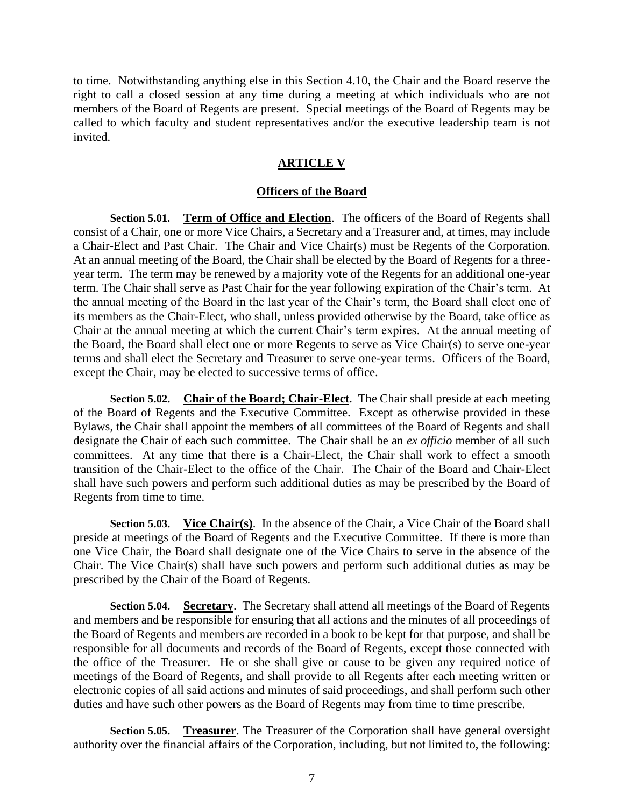to time. Notwithstanding anything else in this Section 4.10, the Chair and the Board reserve the right to call a closed session at any time during a meeting at which individuals who are not members of the Board of Regents are present. Special meetings of the Board of Regents may be called to which faculty and student representatives and/or the executive leadership team is not invited.

#### **ARTICLE V**

#### **Officers of the Board**

<span id="page-9-1"></span><span id="page-9-0"></span>**Section 5.01. Term of Office and Election**. The officers of the Board of Regents shall consist of a Chair, one or more Vice Chairs, a Secretary and a Treasurer and, at times, may include a Chair-Elect and Past Chair. The Chair and Vice Chair(s) must be Regents of the Corporation. At an annual meeting of the Board, the Chair shall be elected by the Board of Regents for a threeyear term. The term may be renewed by a majority vote of the Regents for an additional one-year term. The Chair shall serve as Past Chair for the year following expiration of the Chair's term. At the annual meeting of the Board in the last year of the Chair's term, the Board shall elect one of its members as the Chair-Elect, who shall, unless provided otherwise by the Board, take office as Chair at the annual meeting at which the current Chair's term expires. At the annual meeting of the Board, the Board shall elect one or more Regents to serve as Vice Chair(s) to serve one-year terms and shall elect the Secretary and Treasurer to serve one-year terms. Officers of the Board, except the Chair, may be elected to successive terms of office.

<span id="page-9-2"></span>**Section 5.02. Chair of the Board; Chair-Elect**. The Chair shall preside at each meeting of the Board of Regents and the Executive Committee. Except as otherwise provided in these Bylaws, the Chair shall appoint the members of all committees of the Board of Regents and shall designate the Chair of each such committee. The Chair shall be an *ex officio* member of all such committees.At any time that there is a Chair-Elect, the Chair shall work to effect a smooth transition of the Chair-Elect to the office of the Chair. The Chair of the Board and Chair-Elect shall have such powers and perform such additional duties as may be prescribed by the Board of Regents from time to time.

<span id="page-9-3"></span>**Section 5.03. Vice Chair(s)**. In the absence of the Chair, a Vice Chair of the Board shall preside at meetings of the Board of Regents and the Executive Committee. If there is more than one Vice Chair, the Board shall designate one of the Vice Chairs to serve in the absence of the Chair. The Vice Chair(s) shall have such powers and perform such additional duties as may be prescribed by the Chair of the Board of Regents.

<span id="page-9-4"></span>**Section 5.04. Secretary**. The Secretary shall attend all meetings of the Board of Regents and members and be responsible for ensuring that all actions and the minutes of all proceedings of the Board of Regents and members are recorded in a book to be kept for that purpose, and shall be responsible for all documents and records of the Board of Regents, except those connected with the office of the Treasurer. He or she shall give or cause to be given any required notice of meetings of the Board of Regents, and shall provide to all Regents after each meeting written or electronic copies of all said actions and minutes of said proceedings, and shall perform such other duties and have such other powers as the Board of Regents may from time to time prescribe.

<span id="page-9-5"></span>**Section 5.05. Treasurer**. The Treasurer of the Corporation shall have general oversight authority over the financial affairs of the Corporation, including, but not limited to, the following: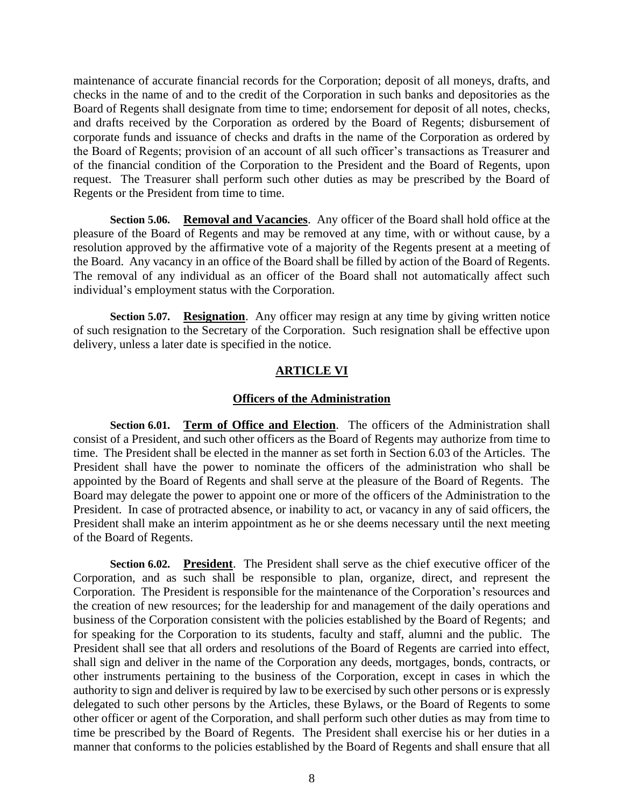maintenance of accurate financial records for the Corporation; deposit of all moneys, drafts, and checks in the name of and to the credit of the Corporation in such banks and depositories as the Board of Regents shall designate from time to time; endorsement for deposit of all notes, checks, and drafts received by the Corporation as ordered by the Board of Regents; disbursement of corporate funds and issuance of checks and drafts in the name of the Corporation as ordered by the Board of Regents; provision of an account of all such officer's transactions as Treasurer and of the financial condition of the Corporation to the President and the Board of Regents, upon request. The Treasurer shall perform such other duties as may be prescribed by the Board of Regents or the President from time to time.

<span id="page-10-0"></span>**Section 5.06. Removal and Vacancies**. Any officer of the Board shall hold office at the pleasure of the Board of Regents and may be removed at any time, with or without cause, by a resolution approved by the affirmative vote of a majority of the Regents present at a meeting of the Board. Any vacancy in an office of the Board shall be filled by action of the Board of Regents. The removal of any individual as an officer of the Board shall not automatically affect such individual's employment status with the Corporation.

<span id="page-10-1"></span>**Section 5.07. Resignation.** Any officer may resign at any time by giving written notice of such resignation to the Secretary of the Corporation. Such resignation shall be effective upon delivery, unless a later date is specified in the notice.

## **ARTICLE VI**

## **Officers of the Administration**

<span id="page-10-3"></span><span id="page-10-2"></span>**Section 6.01. Term of Office and Election**. The officers of the Administration shall consist of a President, and such other officers as the Board of Regents may authorize from time to time. The President shall be elected in the manner as set forth in Section 6.03 of the Articles. The President shall have the power to nominate the officers of the administration who shall be appointed by the Board of Regents and shall serve at the pleasure of the Board of Regents. The Board may delegate the power to appoint one or more of the officers of the Administration to the President. In case of protracted absence, or inability to act, or vacancy in any of said officers, the President shall make an interim appointment as he or she deems necessary until the next meeting of the Board of Regents.

<span id="page-10-4"></span>**Section 6.02. President**. The President shall serve as the chief executive officer of the Corporation, and as such shall be responsible to plan, organize, direct, and represent the Corporation. The President is responsible for the maintenance of the Corporation's resources and the creation of new resources; for the leadership for and management of the daily operations and business of the Corporation consistent with the policies established by the Board of Regents; and for speaking for the Corporation to its students, faculty and staff, alumni and the public. The President shall see that all orders and resolutions of the Board of Regents are carried into effect, shall sign and deliver in the name of the Corporation any deeds, mortgages, bonds, contracts, or other instruments pertaining to the business of the Corporation, except in cases in which the authority to sign and deliver is required by law to be exercised by such other persons or is expressly delegated to such other persons by the Articles, these Bylaws, or the Board of Regents to some other officer or agent of the Corporation, and shall perform such other duties as may from time to time be prescribed by the Board of Regents. The President shall exercise his or her duties in a manner that conforms to the policies established by the Board of Regents and shall ensure that all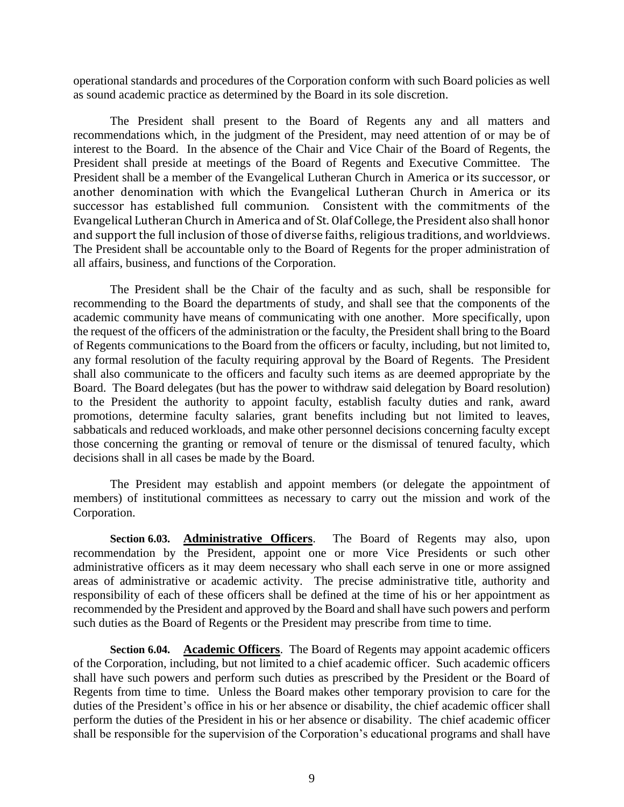operational standards and procedures of the Corporation conform with such Board policies as well as sound academic practice as determined by the Board in its sole discretion.

The President shall present to the Board of Regents any and all matters and recommendations which, in the judgment of the President, may need attention of or may be of interest to the Board. In the absence of the Chair and Vice Chair of the Board of Regents, the President shall preside at meetings of the Board of Regents and Executive Committee. The President shall be a member of the Evangelical Lutheran Church in America or its successor, or another denomination with which the Evangelical Lutheran Church in America or its successor has established full communion. Consistent with the commitments of the Evangelical Lutheran Church in America and of St. Olaf College, the President also shall honor and support the full inclusion of those of diverse faiths, religious traditions, and worldviews. The President shall be accountable only to the Board of Regents for the proper administration of all affairs, business, and functions of the Corporation.

The President shall be the Chair of the faculty and as such, shall be responsible for recommending to the Board the departments of study, and shall see that the components of the academic community have means of communicating with one another. More specifically, upon the request of the officers of the administration or the faculty, the President shall bring to the Board of Regents communications to the Board from the officers or faculty, including, but not limited to, any formal resolution of the faculty requiring approval by the Board of Regents. The President shall also communicate to the officers and faculty such items as are deemed appropriate by the Board. The Board delegates (but has the power to withdraw said delegation by Board resolution) to the President the authority to appoint faculty, establish faculty duties and rank, award promotions, determine faculty salaries, grant benefits including but not limited to leaves, sabbaticals and reduced workloads, and make other personnel decisions concerning faculty except those concerning the granting or removal of tenure or the dismissal of tenured faculty, which decisions shall in all cases be made by the Board.

The President may establish and appoint members (or delegate the appointment of members) of institutional committees as necessary to carry out the mission and work of the Corporation.

<span id="page-11-0"></span>**Section 6.03. Administrative Officers**. The Board of Regents may also, upon recommendation by the President, appoint one or more Vice Presidents or such other administrative officers as it may deem necessary who shall each serve in one or more assigned areas of administrative or academic activity. The precise administrative title, authority and responsibility of each of these officers shall be defined at the time of his or her appointment as recommended by the President and approved by the Board and shall have such powers and perform such duties as the Board of Regents or the President may prescribe from time to time.

<span id="page-11-1"></span>**Section 6.04. Academic Officers**. The Board of Regents may appoint academic officers of the Corporation, including, but not limited to a chief academic officer. Such academic officers shall have such powers and perform such duties as prescribed by the President or the Board of Regents from time to time. Unless the Board makes other temporary provision to care for the duties of the President's office in his or her absence or disability, the chief academic officer shall perform the duties of the President in his or her absence or disability. The chief academic officer shall be responsible for the supervision of the Corporation's educational programs and shall have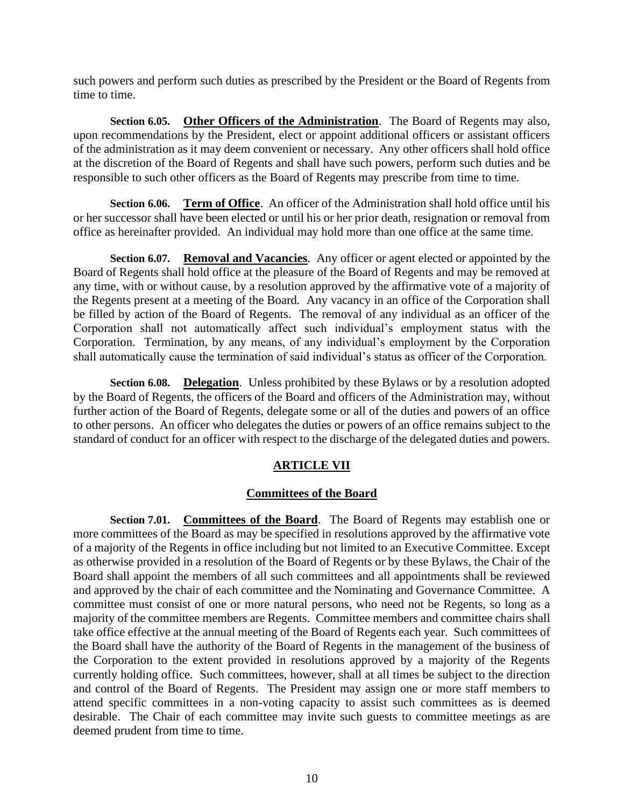such powers and perform such duties as prescribed by the President or the Board of Regents from time to time.

<span id="page-12-0"></span>**Section 6.05. Other Officers of the Administration**. The Board of Regents may also, upon recommendations by the President, elect or appoint additional officers or assistant officers of the administration as it may deem convenient or necessary. Any other officers shall hold office at the discretion of the Board of Regents and shall have such powers, perform such duties and be responsible to such other officers as the Board of Regents may prescribe from time to time.

<span id="page-12-1"></span>**Section 6.06. Term of Office**. An officer of the Administration shall hold office until his or her successor shall have been elected or until his or her prior death, resignation or removal from office as hereinafter provided. An individual may hold more than one office at the same time.

<span id="page-12-2"></span>**Section 6.07. Removal and Vacancies**. Any officer or agent elected or appointed by the Board of Regents shall hold office at the pleasure of the Board of Regents and may be removed at any time, with or without cause, by a resolution approved by the affirmative vote of a majority of the Regents present at a meeting of the Board*.* Any vacancy in an office of the Corporation shall be filled by action of the Board of Regents. The removal of any individual as an officer of the Corporation shall not automatically affect such individual's employment status with the Corporation. Termination, by any means, of any individual's employment by the Corporation shall automatically cause the termination of said individual's status as officer of the Corporation.

<span id="page-12-3"></span>**Section 6.08. Delegation**. Unless prohibited by these Bylaws or by a resolution adopted by the Board of Regents, the officers of the Board and officers of the Administration may, without further action of the Board of Regents, delegate some or all of the duties and powers of an office to other persons. An officer who delegates the duties or powers of an office remains subject to the standard of conduct for an officer with respect to the discharge of the delegated duties and powers.

# **ARTICLE VII**

# **Committees of the Board**

<span id="page-12-5"></span><span id="page-12-4"></span>**Section 7.01. Committees of the Board**. The Board of Regents may establish one or more committees of the Board as may be specified in resolutions approved by the affirmative vote of a majority of the Regents in office including but not limited to an Executive Committee. Except as otherwise provided in a resolution of the Board of Regents or by these Bylaws, the Chair of the Board shall appoint the members of all such committees and all appointments shall be reviewed and approved by the chair of each committee and the Nominating and Governance Committee. A committee must consist of one or more natural persons, who need not be Regents, so long as a majority of the committee members are Regents. Committee members and committee chairs shall take office effective at the annual meeting of the Board of Regents each year. Such committees of the Board shall have the authority of the Board of Regents in the management of the business of the Corporation to the extent provided in resolutions approved by a majority of the Regents currently holding office. Such committees, however, shall at all times be subject to the direction and control of the Board of Regents. The President may assign one or more staff members to attend specific committees in a non-voting capacity to assist such committees as is deemed desirable. The Chair of each committee may invite such guests to committee meetings as are deemed prudent from time to time.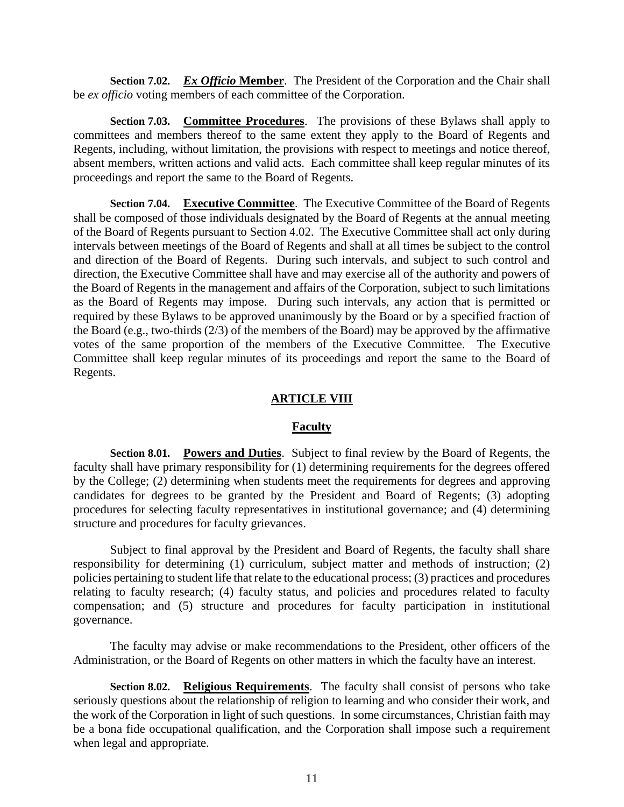<span id="page-13-0"></span>**Section 7.02.** *Ex Officio* **Member**. The President of the Corporation and the Chair shall be *ex officio* voting members of each committee of the Corporation.

<span id="page-13-1"></span>**Section 7.03. Committee Procedures**. The provisions of these Bylaws shall apply to committees and members thereof to the same extent they apply to the Board of Regents and Regents, including, without limitation, the provisions with respect to meetings and notice thereof, absent members, written actions and valid acts. Each committee shall keep regular minutes of its proceedings and report the same to the Board of Regents.

<span id="page-13-2"></span>**Section 7.04. Executive Committee**. The Executive Committee of the Board of Regents shall be composed of those individuals designated by the Board of Regents at the annual meeting of the Board of Regents pursuant to Section 4.02. The Executive Committee shall act only during intervals between meetings of the Board of Regents and shall at all times be subject to the control and direction of the Board of Regents. During such intervals, and subject to such control and direction, the Executive Committee shall have and may exercise all of the authority and powers of the Board of Regents in the management and affairs of the Corporation, subject to such limitations as the Board of Regents may impose. During such intervals, any action that is permitted or required by these Bylaws to be approved unanimously by the Board or by a specified fraction of the Board (e.g., two-thirds (2/3) of the members of the Board) may be approved by the affirmative votes of the same proportion of the members of the Executive Committee. The Executive Committee shall keep regular minutes of its proceedings and report the same to the Board of Regents.

### **ARTICLE VIII**

#### **Faculty**

<span id="page-13-4"></span><span id="page-13-3"></span>**Section 8.01. Powers and Duties**. Subject to final review by the Board of Regents, the faculty shall have primary responsibility for (1) determining requirements for the degrees offered by the College; (2) determining when students meet the requirements for degrees and approving candidates for degrees to be granted by the President and Board of Regents; (3) adopting procedures for selecting faculty representatives in institutional governance; and (4) determining structure and procedures for faculty grievances.

Subject to final approval by the President and Board of Regents, the faculty shall share responsibility for determining (1) curriculum, subject matter and methods of instruction; (2) policies pertaining to student life that relate to the educational process; (3) practices and procedures relating to faculty research; (4) faculty status, and policies and procedures related to faculty compensation; and (5) structure and procedures for faculty participation in institutional governance.

The faculty may advise or make recommendations to the President, other officers of the Administration, or the Board of Regents on other matters in which the faculty have an interest.

<span id="page-13-5"></span>**Section 8.02. Religious Requirements**. The faculty shall consist of persons who take seriously questions about the relationship of religion to learning and who consider their work, and the work of the Corporation in light of such questions. In some circumstances, Christian faith may be a bona fide occupational qualification, and the Corporation shall impose such a requirement when legal and appropriate.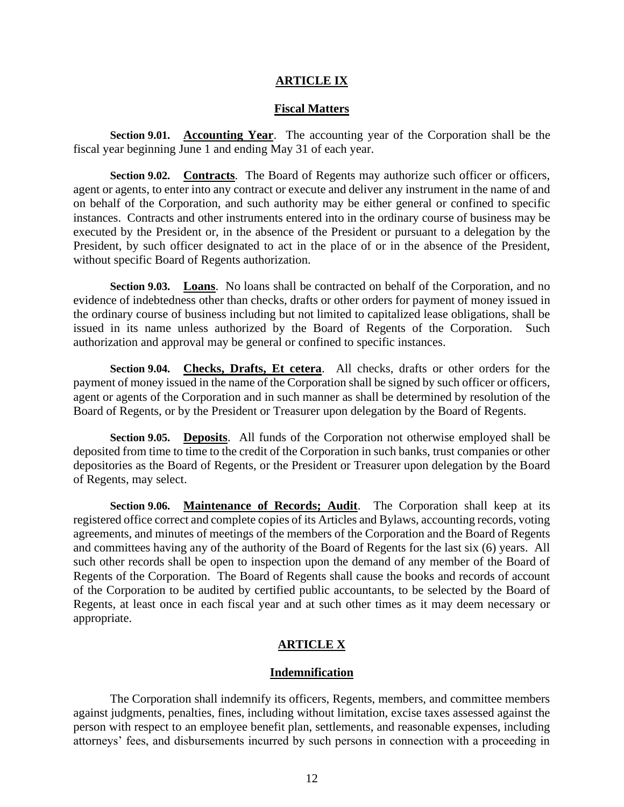### **ARTICLE IX**

#### **Fiscal Matters**

<span id="page-14-1"></span><span id="page-14-0"></span>**Section 9.01. Accounting Year**. The accounting year of the Corporation shall be the fiscal year beginning June 1 and ending May 31 of each year.

<span id="page-14-2"></span>**Section 9.02. Contracts**. The Board of Regents may authorize such officer or officers, agent or agents, to enter into any contract or execute and deliver any instrument in the name of and on behalf of the Corporation, and such authority may be either general or confined to specific instances. Contracts and other instruments entered into in the ordinary course of business may be executed by the President or, in the absence of the President or pursuant to a delegation by the President, by such officer designated to act in the place of or in the absence of the President, without specific Board of Regents authorization.

<span id="page-14-3"></span>**Section 9.03. Loans**. No loans shall be contracted on behalf of the Corporation, and no evidence of indebtedness other than checks, drafts or other orders for payment of money issued in the ordinary course of business including but not limited to capitalized lease obligations, shall be issued in its name unless authorized by the Board of Regents of the Corporation. Such authorization and approval may be general or confined to specific instances.

<span id="page-14-4"></span>**Section 9.04. Checks, Drafts, Et cetera**. All checks, drafts or other orders for the payment of money issued in the name of the Corporation shall be signed by such officer or officers, agent or agents of the Corporation and in such manner as shall be determined by resolution of the Board of Regents, or by the President or Treasurer upon delegation by the Board of Regents.

<span id="page-14-5"></span>**Section 9.05. Deposits**. All funds of the Corporation not otherwise employed shall be deposited from time to time to the credit of the Corporation in such banks, trust companies or other depositories as the Board of Regents, or the President or Treasurer upon delegation by the Board of Regents, may select.

<span id="page-14-6"></span>**Section 9.06. Maintenance of Records; Audit**. The Corporation shall keep at its registered office correct and complete copies of its Articles and Bylaws, accounting records, voting agreements, and minutes of meetings of the members of the Corporation and the Board of Regents and committees having any of the authority of the Board of Regents for the last six (6) years. All such other records shall be open to inspection upon the demand of any member of the Board of Regents of the Corporation. The Board of Regents shall cause the books and records of account of the Corporation to be audited by certified public accountants, to be selected by the Board of Regents, at least once in each fiscal year and at such other times as it may deem necessary or appropriate.

## **ARTICLE X**

#### **Indemnification**

<span id="page-14-7"></span>The Corporation shall indemnify its officers, Regents, members, and committee members against judgments, penalties, fines, including without limitation, excise taxes assessed against the person with respect to an employee benefit plan, settlements, and reasonable expenses, including attorneys' fees, and disbursements incurred by such persons in connection with a proceeding in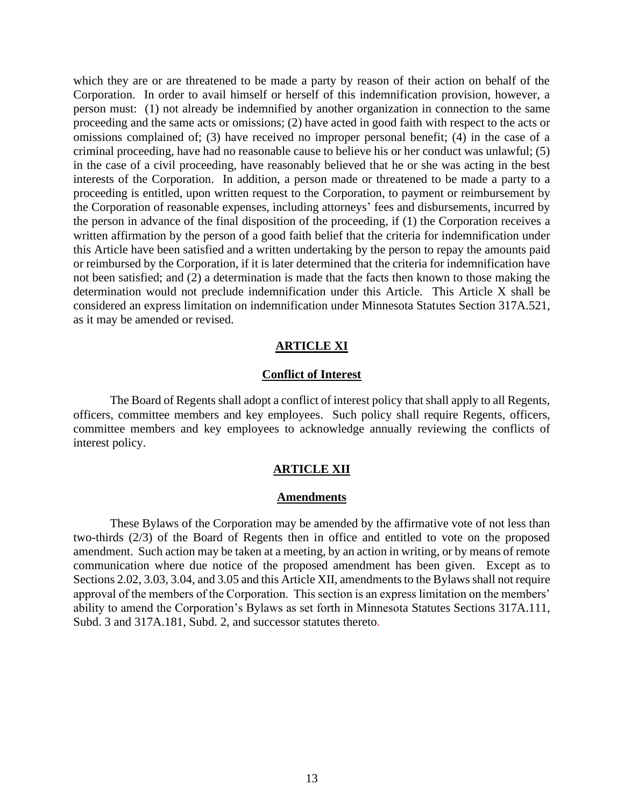which they are or are threatened to be made a party by reason of their action on behalf of the Corporation. In order to avail himself or herself of this indemnification provision, however, a person must: (1) not already be indemnified by another organization in connection to the same proceeding and the same acts or omissions; (2) have acted in good faith with respect to the acts or omissions complained of; (3) have received no improper personal benefit; (4) in the case of a criminal proceeding, have had no reasonable cause to believe his or her conduct was unlawful; (5) in the case of a civil proceeding, have reasonably believed that he or she was acting in the best interests of the Corporation. In addition, a person made or threatened to be made a party to a proceeding is entitled, upon written request to the Corporation, to payment or reimbursement by the Corporation of reasonable expenses, including attorneys' fees and disbursements, incurred by the person in advance of the final disposition of the proceeding, if (1) the Corporation receives a written affirmation by the person of a good faith belief that the criteria for indemnification under this Article have been satisfied and a written undertaking by the person to repay the amounts paid or reimbursed by the Corporation, if it is later determined that the criteria for indemnification have not been satisfied; and (2) a determination is made that the facts then known to those making the determination would not preclude indemnification under this Article. This Article X shall be considered an express limitation on indemnification under Minnesota Statutes Section 317A.521, as it may be amended or revised.

#### **ARTICLE XI**

#### **Conflict of Interest**

<span id="page-15-0"></span>The Board of Regents shall adopt a conflict of interest policy that shall apply to all Regents, officers, committee members and key employees. Such policy shall require Regents, officers, committee members and key employees to acknowledge annually reviewing the conflicts of interest policy.

#### **ARTICLE XII**

#### **Amendments**

<span id="page-15-1"></span>These Bylaws of the Corporation may be amended by the affirmative vote of not less than two-thirds (2/3) of the Board of Regents then in office and entitled to vote on the proposed amendment. Such action may be taken at a meeting, by an action in writing, or by means of remote communication where due notice of the proposed amendment has been given. Except as to Sections 2.02, 3.03, 3.04, and 3.05 and this Article XII, amendments to the Bylaws shall not require approval of the members of the Corporation. This section is an express limitation on the members' ability to amend the Corporation's Bylaws as set forth in Minnesota Statutes Sections 317A.111, Subd. 3 and 317A.181, Subd. 2, and successor statutes thereto.